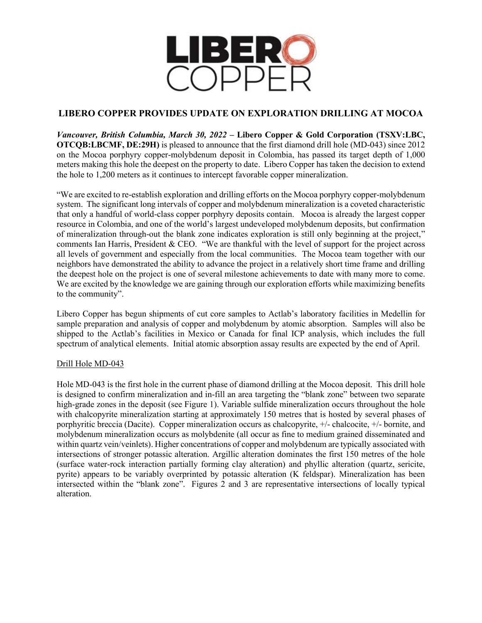

# **LIBERO COPPER PROVIDES UPDATE ON EXPLORATION DRILLING AT MOCOA**

*Vancouver, British Columbia, March 30, 2022* **– Libero Copper & Gold Corporation (TSXV:LBC, OTCQB:LBCMF, DE:29H)** is pleased to announce that the first diamond drill hole (MD-043) since 2012 on the Mocoa porphyry copper-molybdenum deposit in Colombia, has passed its target depth of 1,000 meters making this hole the deepest on the property to date. Libero Copper has taken the decision to extend the hole to 1,200 meters as it continues to intercept favorable copper mineralization.

"We are excited to re-establish exploration and drilling efforts on the Mocoa porphyry copper-molybdenum system. The significant long intervals of copper and molybdenum mineralization is a coveted characteristic that only a handful of world-class copper porphyry deposits contain. Mocoa is already the largest copper resource in Colombia, and one of the world's largest undeveloped molybdenum deposits, but confirmation of mineralization through-out the blank zone indicates exploration is still only beginning at the project," comments Ian Harris, President & CEO. "We are thankful with the level of support for the project across all levels of government and especially from the local communities. The Mocoa team together with our neighbors have demonstrated the ability to advance the project in a relatively short time frame and drilling the deepest hole on the project is one of several milestone achievements to date with many more to come. We are excited by the knowledge we are gaining through our exploration efforts while maximizing benefits to the community".

Libero Copper has begun shipments of cut core samples to Actlab's laboratory facilities in Medellin for sample preparation and analysis of copper and molybdenum by atomic absorption. Samples will also be shipped to the Actlab's facilities in Mexico or Canada for final ICP analysis, which includes the full spectrum of analytical elements. Initial atomic absorption assay results are expected by the end of April.

## Drill Hole MD-043

Hole MD-043 is the first hole in the current phase of diamond drilling at the Mocoa deposit. This drill hole is designed to confirm mineralization and in-fill an area targeting the "blank zone" between two separate high-grade zones in the deposit (see Figure 1). Variable sulfide mineralization occurs throughout the hole with chalcopyrite mineralization starting at approximately 150 metres that is hosted by several phases of porphyritic breccia (Dacite). Copper mineralization occurs as chalcopyrite, +/- chalcocite, +/- bornite, and molybdenum mineralization occurs as molybdenite (all occur as fine to medium grained disseminated and within quartz vein/veinlets). Higher concentrations of copper and molybdenum are typically associated with intersections of stronger potassic alteration. Argillic alteration dominates the first 150 metres of the hole (surface water-rock interaction partially forming clay alteration) and phyllic alteration (quartz, sericite, pyrite) appears to be variably overprinted by potassic alteration (K feldspar). Mineralization has been intersected within the "blank zone". Figures 2 and 3 are representative intersections of locally typical alteration.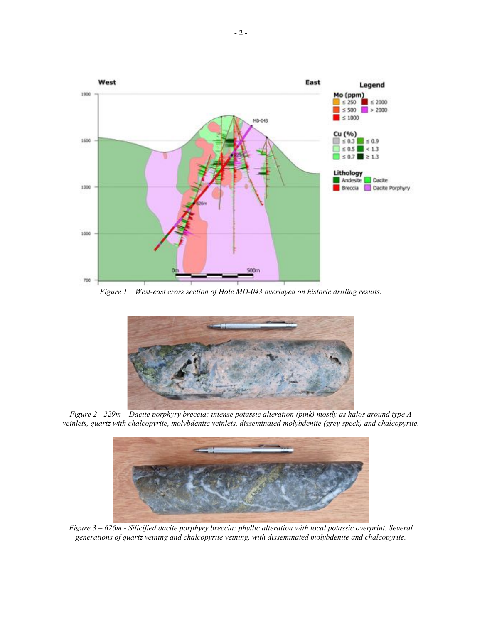

*Figure 1 – West-east cross section of Hole MD-043 overlayed on historic drilling results.*



*Figure 2 - 229m – Dacite porphyry breccia: intense potassic alteration (pink) mostly as halos around type A veinlets, quartz with chalcopyrite, molybdenite veinlets, disseminated molybdenite (grey speck) and chalcopyrite.*



*Figure 3 – 626m - Silicified dacite porphyry breccia: phyllic alteration with local potassic overprint. Several generations of quartz veining and chalcopyrite veining, with disseminated molybdenite and chalcopyrite.*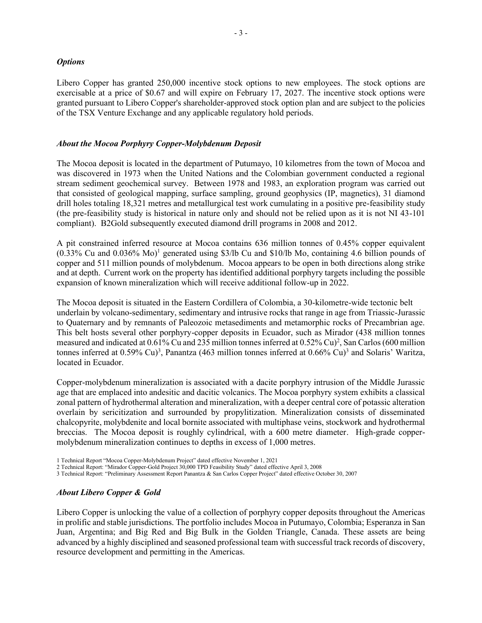## *Options*

Libero Copper has granted 250,000 incentive stock options to new employees. The stock options are exercisable at a price of \$0.67 and will expire on February 17, 2027. The incentive stock options were granted pursuant to Libero Copper's shareholder-approved stock option plan and are subject to the policies of the TSX Venture Exchange and any applicable regulatory hold periods.

## *About the Mocoa Porphyry Copper-Molybdenum Deposit*

The Mocoa deposit is located in the department of Putumayo, 10 kilometres from the town of Mocoa and was discovered in 1973 when the United Nations and the Colombian government conducted a regional stream sediment geochemical survey. Between 1978 and 1983, an exploration program was carried out that consisted of geological mapping, surface sampling, ground geophysics (IP, magnetics), 31 diamond drill holes totaling 18,321 metres and metallurgical test work cumulating in a positive pre-feasibility study (the pre-feasibility study is historical in nature only and should not be relied upon as it is not NI 43-101 compliant). B2Gold subsequently executed diamond drill programs in 2008 and 2012.

A pit constrained inferred resource at Mocoa contains 636 million tonnes of 0.45% copper equivalent (0.33% Cu and 0.036% Mo) <sup>1</sup> generated using \$3/lb Cu and \$10/lb Mo, containing 4.6 billion pounds of copper and 511 million pounds of molybdenum. Mocoa appears to be open in both directions along strike and at depth. Current work on the property has identified additional porphyry targets including the possible expansion of known mineralization which will receive additional follow-up in 2022.

The Mocoa deposit is situated in the Eastern Cordillera of Colombia, a 30-kilometre-wide tectonic belt underlain by volcano-sedimentary, sedimentary and intrusive rocks that range in age from Triassic-Jurassic to Quaternary and by remnants of Paleozoic metasediments and metamorphic rocks of Precambrian age. This belt hosts several other porphyry-copper deposits in Ecuador, such as Mirador (438 million tonnes measured and indicated at 0.61% Cu and 235 million tonnes inferred at 0.52% Cu)<sup>2</sup>, San Carlos (600 million tonnes inferred at  $0.59\%$  Cu)<sup>3</sup>, Panantza (463 million tonnes inferred at  $0.66\%$  Cu)<sup>3</sup> and Solaris' Waritza, located in Ecuador.

Copper-molybdenum mineralization is associated with a dacite porphyry intrusion of the Middle Jurassic age that are emplaced into andesitic and dacitic volcanics. The Mocoa porphyry system exhibits a classical zonal pattern of hydrothermal alteration and mineralization, with a deeper central core of potassic alteration overlain by sericitization and surrounded by propylitization. Mineralization consists of disseminated chalcopyrite, molybdenite and local bornite associated with multiphase veins, stockwork and hydrothermal breccias. The Mocoa deposit is roughly cylindrical, with a 600 metre diameter. High-grade coppermolybdenum mineralization continues to depths in excess of 1,000 metres.

- 2 Technical Report: "Mirador Copper-Gold Project 30,000 TPD Feasibility Study" dated effective April 3, 2008
- 3 Technical Report: "Preliminary Assessment Report Panantza & San Carlos Copper Project" dated effective October 30, 2007

## *About Libero Copper & Gold*

Libero Copper is unlocking the value of a collection of porphyry copper deposits throughout the Americas in prolific and stable jurisdictions. The portfolio includes Mocoa in Putumayo, Colombia; Esperanza in San Juan, Argentina; and Big Red and Big Bulk in the Golden Triangle, Canada. These assets are being advanced by a highly disciplined and seasoned professional team with successful track records of discovery, resource development and permitting in the Americas.

<sup>1</sup> Technical Report "Mocoa Copper-Molybdenum Project" dated effective November 1, 2021